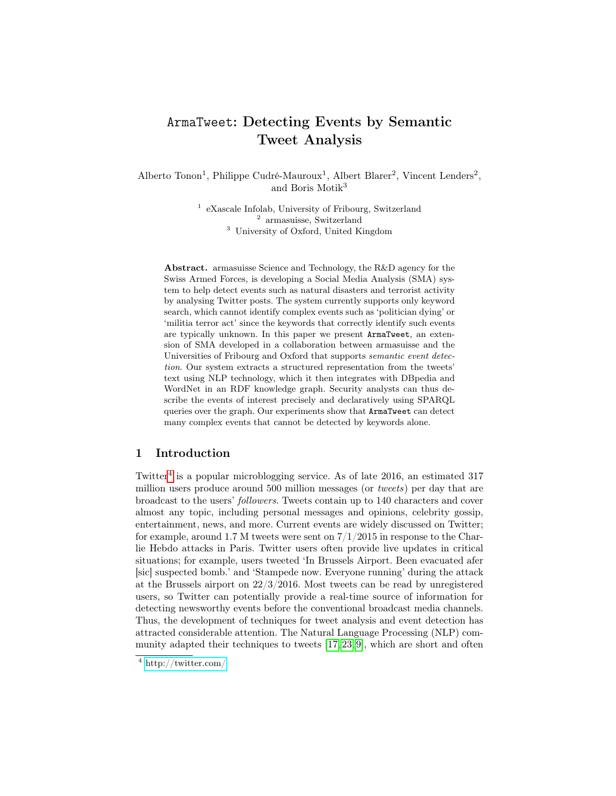# ArmaTweet: Detecting Events by Semantic Tweet Analysis

Alberto Tonon<sup>1</sup>, Philippe Cudré-Mauroux<sup>1</sup>, Albert Blarer<sup>2</sup>, Vincent Lenders<sup>2</sup>, and Boris Motik<sup>3</sup>

> 1 eXascale Infolab, University of Fribourg, Switzerland 2 armasuisse, Switzerland <sup>3</sup> University of Oxford, United Kingdom

Abstract. armasuisse Science and Technology, the R&D agency for the Swiss Armed Forces, is developing a Social Media Analysis (SMA) system to help detect events such as natural disasters and terrorist activity by analysing Twitter posts. The system currently supports only keyword search, which cannot identify complex events such as 'politician dying' or 'militia terror act' since the keywords that correctly identify such events are typically unknown. In this paper we present ArmaTweet, an extension of SMA developed in a collaboration between armasuisse and the Universities of Fribourg and Oxford that supports semantic event detection. Our system extracts a structured representation from the tweets' text using NLP technology, which it then integrates with DBpedia and WordNet in an RDF knowledge graph. Security analysts can thus describe the events of interest precisely and declaratively using SPARQL queries over the graph. Our experiments show that ArmaTweet can detect many complex events that cannot be detected by keywords alone.

# 1 Introduction

Twitter<sup>[4](#page-0-0)</sup> is a popular microblogging service. As of late  $2016$ , an estimated 317 million users produce around 500 million messages (or tweets) per day that are broadcast to the users' followers. Tweets contain up to 140 characters and cover almost any topic, including personal messages and opinions, celebrity gossip, entertainment, news, and more. Current events are widely discussed on Twitter; for example, around 1.7 M tweets were sent on  $7/1/2015$  in response to the Charlie Hebdo attacks in Paris. Twitter users often provide live updates in critical situations; for example, users tweeted 'In Brussels Airport. Been evacuated afer [sic] suspected bomb.' and 'Stampede now. Everyone running' during the attack at the Brussels airport on 22/3/2016. Most tweets can be read by unregistered users, so Twitter can potentially provide a real-time source of information for detecting newsworthy events before the conventional broadcast media channels. Thus, the development of techniques for tweet analysis and event detection has attracted considerable attention. The Natural Language Processing (NLP) community adapted their techniques to tweets [\[17,](#page-14-0) [23,](#page-14-1) [9\]](#page-13-0), which are short and often

<span id="page-0-0"></span> $\frac{4 \text{ http://twitter.com/}}{4 \text{ http://twitter.com/}}$  $\frac{4 \text{ http://twitter.com/}}{4 \text{ http://twitter.com/}}$  $\frac{4 \text{ http://twitter.com/}}{4 \text{ http://twitter.com/}}$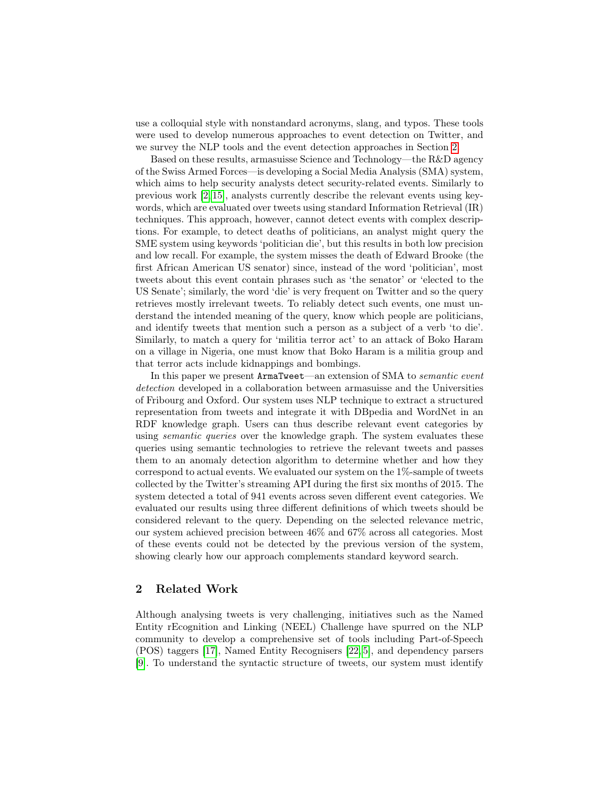use a colloquial style with nonstandard acronyms, slang, and typos. These tools were used to develop numerous approaches to event detection on Twitter, and we survey the NLP tools and the event detection approaches in Section [2.](#page-1-0)

Based on these results, armasuisse Science and Technology—the R&D agency of the Swiss Armed Forces—is developing a Social Media Analysis (SMA) system, which aims to help security analysts detect security-related events. Similarly to previous work [\[2,](#page-13-1) [15\]](#page-14-2), analysts currently describe the relevant events using keywords, which are evaluated over tweets using standard Information Retrieval (IR) techniques. This approach, however, cannot detect events with complex descriptions. For example, to detect deaths of politicians, an analyst might query the SME system using keywords 'politician die', but this results in both low precision and low recall. For example, the system misses the death of Edward Brooke (the first African American US senator) since, instead of the word 'politician', most tweets about this event contain phrases such as 'the senator' or 'elected to the US Senate'; similarly, the word 'die' is very frequent on Twitter and so the query retrieves mostly irrelevant tweets. To reliably detect such events, one must understand the intended meaning of the query, know which people are politicians, and identify tweets that mention such a person as a subject of a verb 'to die'. Similarly, to match a query for 'militia terror act' to an attack of Boko Haram on a village in Nigeria, one must know that Boko Haram is a militia group and that terror acts include kidnappings and bombings.

In this paper we present ArmaTweet—an extension of SMA to semantic event detection developed in a collaboration between armasuisse and the Universities of Fribourg and Oxford. Our system uses NLP technique to extract a structured representation from tweets and integrate it with DBpedia and WordNet in an RDF knowledge graph. Users can thus describe relevant event categories by using *semantic queries* over the knowledge graph. The system evaluates these queries using semantic technologies to retrieve the relevant tweets and passes them to an anomaly detection algorithm to determine whether and how they correspond to actual events. We evaluated our system on the 1%-sample of tweets collected by the Twitter's streaming API during the first six months of 2015. The system detected a total of 941 events across seven different event categories. We evaluated our results using three different definitions of which tweets should be considered relevant to the query. Depending on the selected relevance metric, our system achieved precision between 46% and 67% across all categories. Most of these events could not be detected by the previous version of the system, showing clearly how our approach complements standard keyword search.

## <span id="page-1-0"></span>2 Related Work

Although analysing tweets is very challenging, initiatives such as the Named Entity rEcognition and Linking (NEEL) Challenge have spurred on the NLP community to develop a comprehensive set of tools including Part-of-Speech (POS) taggers [\[17\]](#page-14-0), Named Entity Recognisers [\[22,](#page-14-3) [5\]](#page-13-2), and dependency parsers [\[9\]](#page-13-0). To understand the syntactic structure of tweets, our system must identify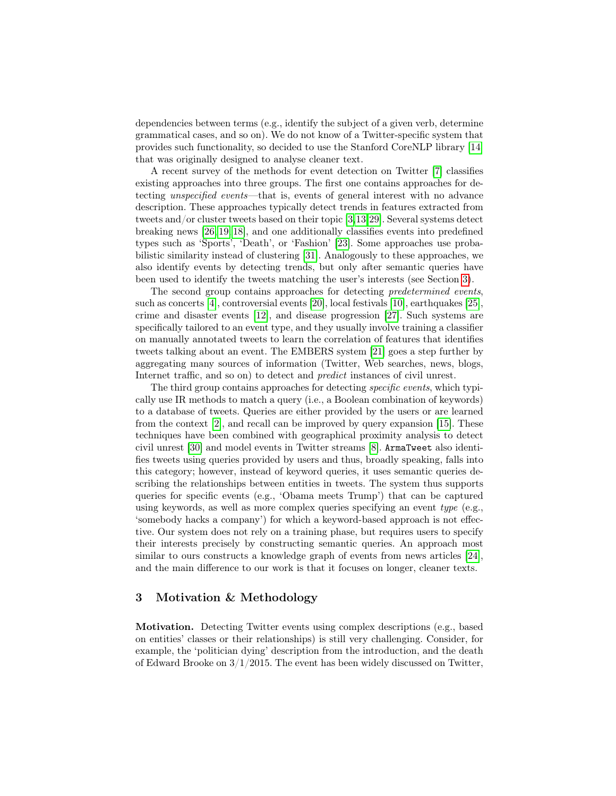dependencies between terms (e.g., identify the subject of a given verb, determine grammatical cases, and so on). We do not know of a Twitter-specific system that provides such functionality, so decided to use the Stanford CoreNLP library [\[14\]](#page-14-4) that was originally designed to analyse cleaner text.

A recent survey of the methods for event detection on Twitter [\[7\]](#page-13-3) classifies existing approaches into three groups. The first one contains approaches for detecting unspecified events—that is, events of general interest with no advance description. These approaches typically detect trends in features extracted from tweets and/or cluster tweets based on their topic [\[3,](#page-13-4)[13,](#page-14-5)[29\]](#page-14-6). Several systems detect breaking news [\[26,](#page-14-7) [19,](#page-14-8) [18\]](#page-14-9), and one additionally classifies events into predefined types such as 'Sports', 'Death', or 'Fashion' [\[23\]](#page-14-1). Some approaches use probabilistic similarity instead of clustering [\[31\]](#page-14-10). Analogously to these approaches, we also identify events by detecting trends, but only after semantic queries have been used to identify the tweets matching the user's interests (see Section [3\)](#page-2-0).

The second group contains approaches for detecting predetermined events, such as concerts [\[4\]](#page-13-5), controversial events [\[20\]](#page-14-11), local festivals [\[10\]](#page-14-12), earthquakes [\[25\]](#page-14-13), crime and disaster events [\[12\]](#page-14-14), and disease progression [\[27\]](#page-14-15). Such systems are specifically tailored to an event type, and they usually involve training a classifier on manually annotated tweets to learn the correlation of features that identifies tweets talking about an event. The EMBERS system [\[21\]](#page-14-16) goes a step further by aggregating many sources of information (Twitter, Web searches, news, blogs, Internet traffic, and so on) to detect and predict instances of civil unrest.

The third group contains approaches for detecting specific events, which typically use IR methods to match a query (i.e., a Boolean combination of keywords) to a database of tweets. Queries are either provided by the users or are learned from the context [\[2\]](#page-13-1), and recall can be improved by query expansion [\[15\]](#page-14-2). These techniques have been combined with geographical proximity analysis to detect civil unrest [\[30\]](#page-14-17) and model events in Twitter streams [\[8\]](#page-13-6). ArmaTweet also identifies tweets using queries provided by users and thus, broadly speaking, falls into this category; however, instead of keyword queries, it uses semantic queries describing the relationships between entities in tweets. The system thus supports queries for specific events (e.g., 'Obama meets Trump') that can be captured using keywords, as well as more complex queries specifying an event type (e.g., 'somebody hacks a company') for which a keyword-based approach is not effective. Our system does not rely on a training phase, but requires users to specify their interests precisely by constructing semantic queries. An approach most similar to ours constructs a knowledge graph of events from news articles [\[24\]](#page-14-18), and the main difference to our work is that it focuses on longer, cleaner texts.

## <span id="page-2-0"></span>3 Motivation & Methodology

Motivation. Detecting Twitter events using complex descriptions (e.g., based on entities' classes or their relationships) is still very challenging. Consider, for example, the 'politician dying' description from the introduction, and the death of Edward Brooke on  $3/1/2015$ . The event has been widely discussed on Twitter,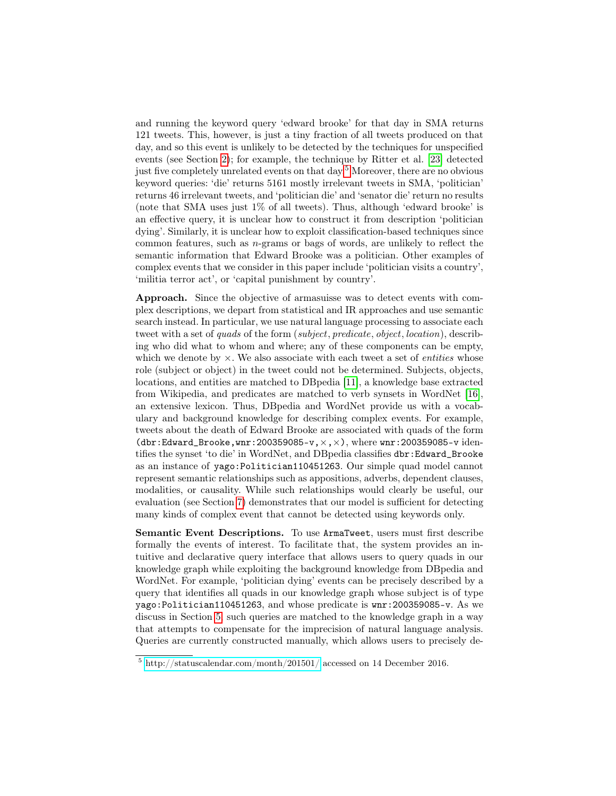and running the keyword query 'edward brooke' for that day in SMA returns 121 tweets. This, however, is just a tiny fraction of all tweets produced on that day, and so this event is unlikely to be detected by the techniques for unspecified events (see Section [2\)](#page-1-0); for example, the technique by Ritter et al. [\[23\]](#page-14-1) detected just five completely unrelated events on that day.<sup>[5](#page-3-0)</sup> Moreover, there are no obvious keyword queries: 'die' returns 5161 mostly irrelevant tweets in SMA, 'politician' returns 46 irrelevant tweets, and 'politician die' and 'senator die' return no results (note that SMA uses just 1% of all tweets). Thus, although 'edward brooke' is an effective query, it is unclear how to construct it from description 'politician dying'. Similarly, it is unclear how to exploit classification-based techniques since common features, such as n-grams or bags of words, are unlikely to reflect the semantic information that Edward Brooke was a politician. Other examples of complex events that we consider in this paper include 'politician visits a country', 'militia terror act', or 'capital punishment by country'.

Approach. Since the objective of armasuisse was to detect events with complex descriptions, we depart from statistical and IR approaches and use semantic search instead. In particular, we use natural language processing to associate each tweet with a set of quads of the form (subject, predicate, object, location), describing who did what to whom and where; any of these components can be empty, which we denote by  $\times$ . We also associate with each tweet a set of *entities* whose role (subject or object) in the tweet could not be determined. Subjects, objects, locations, and entities are matched to DBpedia [\[11\]](#page-14-19), a knowledge base extracted from Wikipedia, and predicates are matched to verb synsets in WordNet [\[16\]](#page-14-20), an extensive lexicon. Thus, DBpedia and WordNet provide us with a vocabulary and background knowledge for describing complex events. For example, tweets about the death of Edward Brooke are associated with quads of the form (dbr:Edward\_Brooke,wnr:200359085-v,  $\times$ ,  $\times$ ), where wnr:200359085-v identifies the synset 'to die' in WordNet, and DBpedia classifies dbr:Edward\_Brooke as an instance of yago:Politician110451263. Our simple quad model cannot represent semantic relationships such as appositions, adverbs, dependent clauses, modalities, or causality. While such relationships would clearly be useful, our evaluation (see Section [7\)](#page-11-0) demonstrates that our model is sufficient for detecting many kinds of complex event that cannot be detected using keywords only.

Semantic Event Descriptions. To use ArmaTweet, users must first describe formally the events of interest. To facilitate that, the system provides an intuitive and declarative query interface that allows users to query quads in our knowledge graph while exploiting the background knowledge from DBpedia and WordNet. For example, 'politician dying' events can be precisely described by a query that identifies all quads in our knowledge graph whose subject is of type yago:Politician110451263, and whose predicate is wnr:200359085-v. As we discuss in Section [5,](#page-7-0) such queries are matched to the knowledge graph in a way that attempts to compensate for the imprecision of natural language analysis. Queries are currently constructed manually, which allows users to precisely de-

<span id="page-3-0"></span> $5$  <http://statuscalendar.com/month/201501/> accessed on 14 December 2016.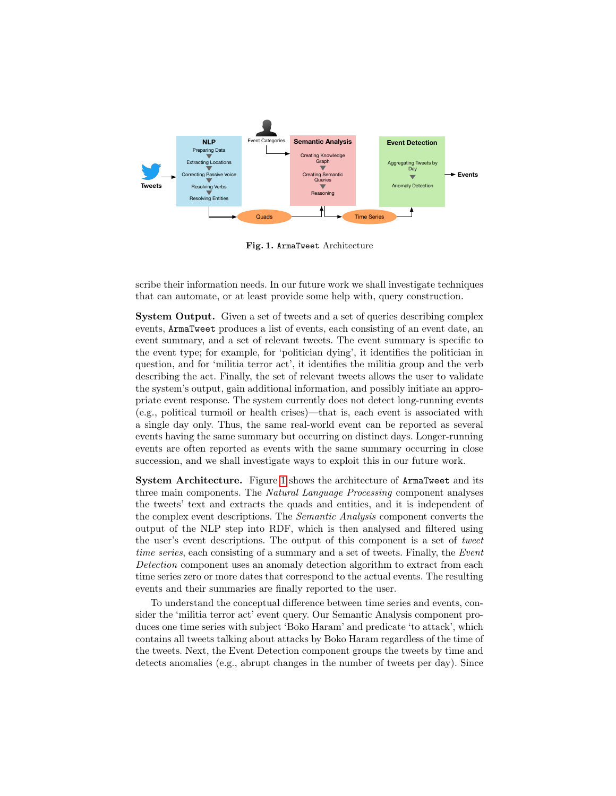

<span id="page-4-0"></span>Fig. 1. ArmaTweet Architecture

scribe their information needs. In our future work we shall investigate techniques that can automate, or at least provide some help with, query construction.

System Output. Given a set of tweets and a set of queries describing complex events, ArmaTweet produces a list of events, each consisting of an event date, an event summary, and a set of relevant tweets. The event summary is specific to the event type; for example, for 'politician dying', it identifies the politician in question, and for 'militia terror act', it identifies the militia group and the verb describing the act. Finally, the set of relevant tweets allows the user to validate the system's output, gain additional information, and possibly initiate an appropriate event response. The system currently does not detect long-running events (e.g., political turmoil or health crises)—that is, each event is associated with a single day only. Thus, the same real-world event can be reported as several events having the same summary but occurring on distinct days. Longer-running events are often reported as events with the same summary occurring in close succession, and we shall investigate ways to exploit this in our future work.

System Architecture. Figure [1](#page-4-0) shows the architecture of ArmaTweet and its three main components. The Natural Language Processing component analyses the tweets' text and extracts the quads and entities, and it is independent of the complex event descriptions. The *Semantic Analysis* component converts the output of the NLP step into RDF, which is then analysed and filtered using the user's event descriptions. The output of this component is a set of tweet time series, each consisting of a summary and a set of tweets. Finally, the Event Detection component uses an anomaly detection algorithm to extract from each time series zero or more dates that correspond to the actual events. The resulting events and their summaries are finally reported to the user.

To understand the conceptual difference between time series and events, consider the 'militia terror act' event query. Our Semantic Analysis component produces one time series with subject 'Boko Haram' and predicate 'to attack', which contains all tweets talking about attacks by Boko Haram regardless of the time of the tweets. Next, the Event Detection component groups the tweets by time and detects anomalies (e.g., abrupt changes in the number of tweets per day). Since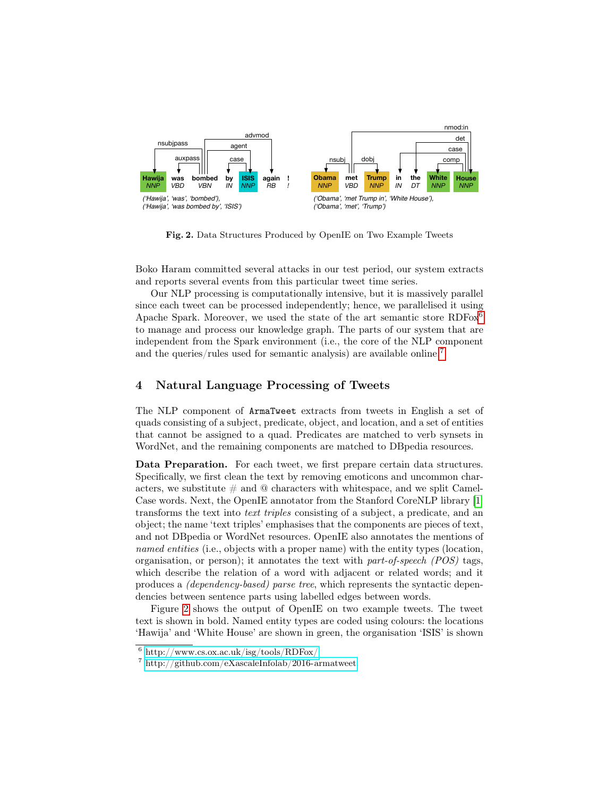

<span id="page-5-2"></span>Fig. 2. Data Structures Produced by OpenIE on Two Example Tweets

Boko Haram committed several attacks in our test period, our system extracts and reports several events from this particular tweet time series.

Our NLP processing is computationally intensive, but it is massively parallel since each tweet can be processed independently; hence, we parallelised it using Apache Spark. Moreover, we used the state of the art semantic store RDFox<sup>[6](#page-5-0)</sup> to manage and process our knowledge graph. The parts of our system that are independent from the Spark environment (i.e., the core of the NLP component and the queries/rules used for semantic analysis) are available online.<sup>[7](#page-5-1)</sup>

## <span id="page-5-3"></span>4 Natural Language Processing of Tweets

The NLP component of ArmaTweet extracts from tweets in English a set of quads consisting of a subject, predicate, object, and location, and a set of entities that cannot be assigned to a quad. Predicates are matched to verb synsets in WordNet, and the remaining components are matched to DBpedia resources.

Data Preparation. For each tweet, we first prepare certain data structures. Specifically, we first clean the text by removing emoticons and uncommon characters, we substitute  $\#$  and  $@$  characters with whitespace, and we split Camel-Case words. Next, the OpenIE annotator from the Stanford CoreNLP library [\[1\]](#page-13-7) transforms the text into text triples consisting of a subject, a predicate, and an object; the name 'text triples' emphasises that the components are pieces of text, and not DBpedia or WordNet resources. OpenIE also annotates the mentions of named entities (i.e., objects with a proper name) with the entity types (location, organisation, or person); it annotates the text with part-of-speech  $(POS)$  tags, which describe the relation of a word with adjacent or related words; and it produces a (dependency-based) parse tree, which represents the syntactic dependencies between sentence parts using labelled edges between words.

Figure [2](#page-5-2) shows the output of OpenIE on two example tweets. The tweet text is shown in bold. Named entity types are coded using colours: the locations 'Hawija' and 'White House' are shown in green, the organisation 'ISIS' is shown

<span id="page-5-0"></span><sup>6</sup> <http://www.cs.ox.ac.uk/isg/tools/RDFox/>

<span id="page-5-1"></span><sup>7</sup> [http://github.com/eXascaleInfolab/2016-armatweet.](http://github.com/eXascaleInfolab/2016-armatweet)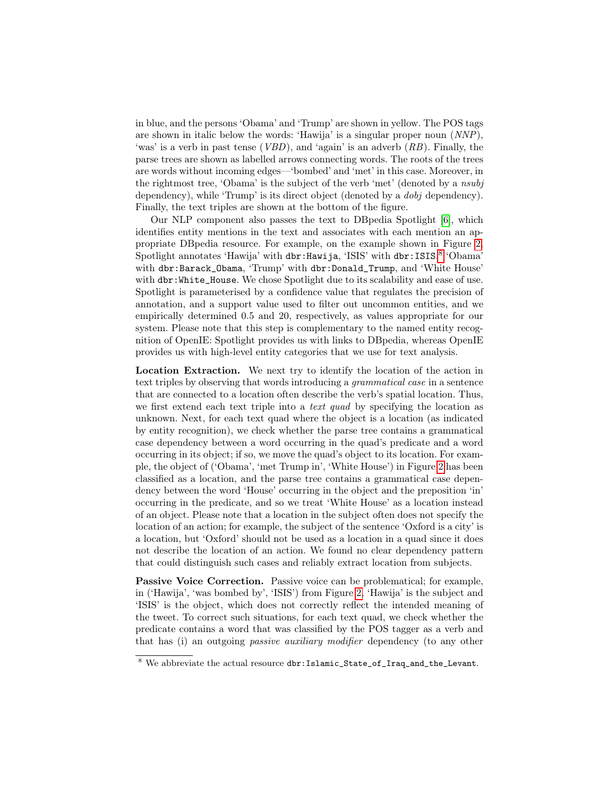in blue, and the persons 'Obama' and 'Trump' are shown in yellow. The POS tags are shown in italic below the words: 'Hawija' is a singular proper noun (NNP), 'was' is a verb in past tense  $(VBD)$ , and 'again' is an adverb  $(RB)$ . Finally, the parse trees are shown as labelled arrows connecting words. The roots of the trees are words without incoming edges—'bombed' and 'met' in this case. Moreover, in the rightmost tree, 'Obama' is the subject of the verb 'met' (denoted by a nsubj dependency), while 'Trump' is its direct object (denoted by a *dobj* dependency). Finally, the text triples are shown at the bottom of the figure.

Our NLP component also passes the text to DBpedia Spotlight [\[6\]](#page-13-8), which identifies entity mentions in the text and associates with each mention an appropriate DBpedia resource. For example, on the example shown in Figure [2,](#page-5-2) Spotlight annotates 'Hawija' with dbr:Hawija, 'ISIS' with dbr:ISIS, <sup>[8](#page-6-0)</sup> 'Obama' with dbr:Barack\_Obama, 'Trump' with dbr:Donald\_Trump, and 'White House' with dbr:White\_House. We chose Spotlight due to its scalability and ease of use. Spotlight is parameterised by a confidence value that regulates the precision of annotation, and a support value used to filter out uncommon entities, and we empirically determined 0.5 and 20, respectively, as values appropriate for our system. Please note that this step is complementary to the named entity recognition of OpenIE: Spotlight provides us with links to DBpedia, whereas OpenIE provides us with high-level entity categories that we use for text analysis.

Location Extraction. We next try to identify the location of the action in text triples by observing that words introducing a grammatical case in a sentence that are connected to a location often describe the verb's spatial location. Thus, we first extend each text triple into a *text quad* by specifying the location as unknown. Next, for each text quad where the object is a location (as indicated by entity recognition), we check whether the parse tree contains a grammatical case dependency between a word occurring in the quad's predicate and a word occurring in its object; if so, we move the quad's object to its location. For example, the object of ('Obama', 'met Trump in', 'White House') in Figure [2](#page-5-2) has been classified as a location, and the parse tree contains a grammatical case dependency between the word 'House' occurring in the object and the preposition 'in' occurring in the predicate, and so we treat 'White House' as a location instead of an object. Please note that a location in the subject often does not specify the location of an action; for example, the subject of the sentence 'Oxford is a city' is a location, but 'Oxford' should not be used as a location in a quad since it does not describe the location of an action. We found no clear dependency pattern that could distinguish such cases and reliably extract location from subjects.

Passive Voice Correction. Passive voice can be problematical; for example, in ('Hawija', 'was bombed by', 'ISIS') from Figure [2,](#page-5-2) 'Hawija' is the subject and 'ISIS' is the object, which does not correctly reflect the intended meaning of the tweet. To correct such situations, for each text quad, we check whether the predicate contains a word that was classified by the POS tagger as a verb and that has (i) an outgoing passive auxiliary modifier dependency (to any other

<span id="page-6-0"></span><sup>8</sup> We abbreviate the actual resource dbr:Islamic\_State\_of\_Iraq\_and\_the\_Levant.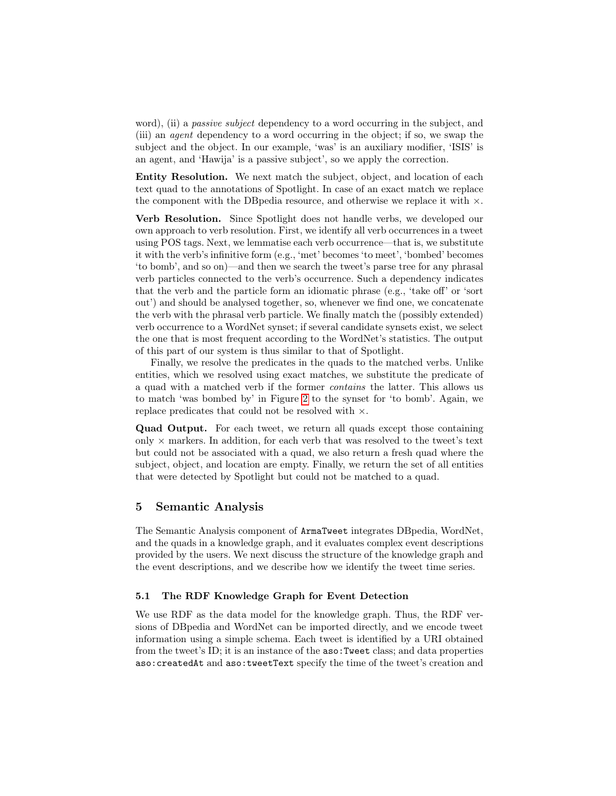word), (ii) a *passive subject* dependency to a word occurring in the subject, and (iii) an agent dependency to a word occurring in the object; if so, we swap the subject and the object. In our example, 'was' is an auxiliary modifier, 'ISIS' is an agent, and 'Hawija' is a passive subject', so we apply the correction.

Entity Resolution. We next match the subject, object, and location of each text quad to the annotations of Spotlight. In case of an exact match we replace the component with the DB pedia resource, and otherwise we replace it with  $\times$ .

Verb Resolution. Since Spotlight does not handle verbs, we developed our own approach to verb resolution. First, we identify all verb occurrences in a tweet using POS tags. Next, we lemmatise each verb occurrence—that is, we substitute it with the verb's infinitive form (e.g., 'met' becomes 'to meet', 'bombed' becomes 'to bomb', and so on)—and then we search the tweet's parse tree for any phrasal verb particles connected to the verb's occurrence. Such a dependency indicates that the verb and the particle form an idiomatic phrase (e.g., 'take off' or 'sort out') and should be analysed together, so, whenever we find one, we concatenate the verb with the phrasal verb particle. We finally match the (possibly extended) verb occurrence to a WordNet synset; if several candidate synsets exist, we select the one that is most frequent according to the WordNet's statistics. The output of this part of our system is thus similar to that of Spotlight.

Finally, we resolve the predicates in the quads to the matched verbs. Unlike entities, which we resolved using exact matches, we substitute the predicate of a quad with a matched verb if the former contains the latter. This allows us to match 'was bombed by' in Figure [2](#page-5-2) to the synset for 'to bomb'. Again, we replace predicates that could not be resolved with ×.

Quad Output. For each tweet, we return all quads except those containing only  $\times$  markers. In addition, for each verb that was resolved to the tweet's text but could not be associated with a quad, we also return a fresh quad where the subject, object, and location are empty. Finally, we return the set of all entities that were detected by Spotlight but could not be matched to a quad.

## <span id="page-7-0"></span>5 Semantic Analysis

The Semantic Analysis component of ArmaTweet integrates DBpedia, WordNet, and the quads in a knowledge graph, and it evaluates complex event descriptions provided by the users. We next discuss the structure of the knowledge graph and the event descriptions, and we describe how we identify the tweet time series.

### 5.1 The RDF Knowledge Graph for Event Detection

We use RDF as the data model for the knowledge graph. Thus, the RDF versions of DBpedia and WordNet can be imported directly, and we encode tweet information using a simple schema. Each tweet is identified by a URI obtained from the tweet's ID; it is an instance of the aso:Tweet class; and data properties aso:createdAt and aso:tweetText specify the time of the tweet's creation and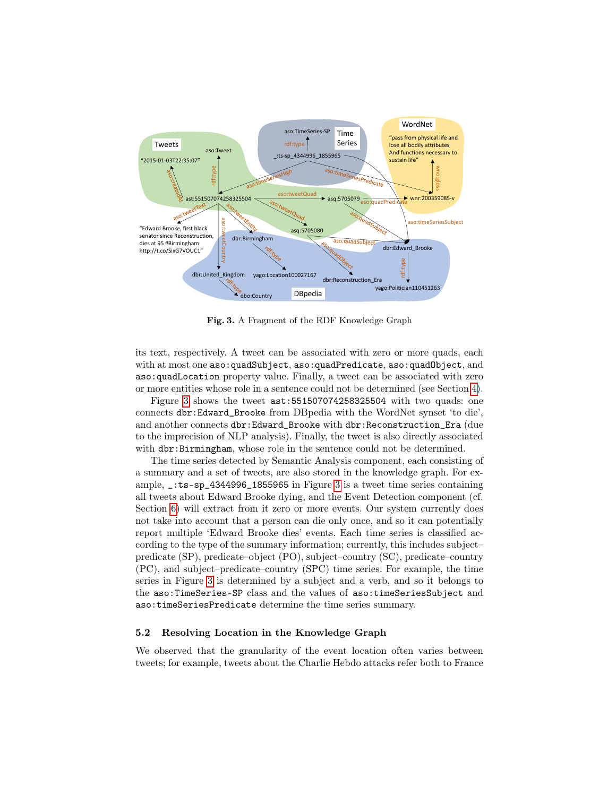

<span id="page-8-0"></span>Fig. 3. A Fragment of the RDF Knowledge Graph

its text, respectively. A tweet can be associated with zero or more quads, each with at most one aso:quadSubject, aso:quadPredicate, aso:quadObject, and aso:quadLocation property value. Finally, a tweet can be associated with zero or more entities whose role in a sentence could not be determined (see Section [4\)](#page-5-3).

Figure [3](#page-8-0) shows the tweet ast:551507074258325504 with two quads: one connects dbr:Edward\_Brooke from DBpedia with the WordNet synset 'to die', and another connects dbr:Edward\_Brooke with dbr:Reconstruction\_Era (due to the imprecision of NLP analysis). Finally, the tweet is also directly associated with dbr:Birmingham, whose role in the sentence could not be determined.

The time series detected by Semantic Analysis component, each consisting of a summary and a set of tweets, are also stored in the knowledge graph. For example, \_:ts-sp\_4344996\_1855965 in Figure [3](#page-8-0) is a tweet time series containing all tweets about Edward Brooke dying, and the Event Detection component (cf. Section [6\)](#page-10-0) will extract from it zero or more events. Our system currently does not take into account that a person can die only once, and so it can potentially report multiple 'Edward Brooke dies' events. Each time series is classified according to the type of the summary information; currently, this includes subject– predicate (SP), predicate–object (PO), subject–country (SC), predicate–country (PC), and subject–predicate–country (SPC) time series. For example, the time series in Figure [3](#page-8-0) is determined by a subject and a verb, and so it belongs to the aso:TimeSeries-SP class and the values of aso:timeSeriesSubject and aso:timeSeriesPredicate determine the time series summary.

### 5.2 Resolving Location in the Knowledge Graph

We observed that the granularity of the event location often varies between tweets; for example, tweets about the Charlie Hebdo attacks refer both to France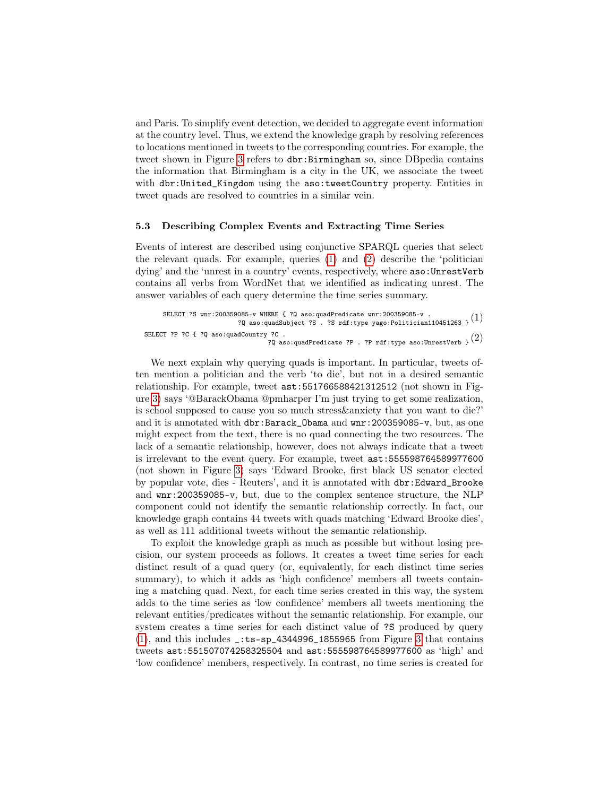and Paris. To simplify event detection, we decided to aggregate event information at the country level. Thus, we extend the knowledge graph by resolving references to locations mentioned in tweets to the corresponding countries. For example, the tweet shown in Figure [3](#page-8-0) refers to dbr:Birmingham so, since DBpedia contains the information that Birmingham is a city in the UK, we associate the tweet with dbr:United\_Kingdom using the aso:tweetCountry property. Entities in tweet quads are resolved to countries in a similar vein.

#### 5.3 Describing Complex Events and Extracting Time Series

Events of interest are described using conjunctive SPARQL queries that select the relevant quads. For example, queries [\(1\)](#page-9-0) and [\(2\)](#page-9-0) describe the 'politician dying' and the 'unrest in a country' events, respectively, where aso:UnrestVerb contains all verbs from WordNet that we identified as indicating unrest. The answer variables of each query determine the time series summary.

```
SELECT ?S wnr:200359085-v WHERE { ?Q aso:quadPredicate wnr:200359085-v .
                         ?Q aso:quadSubject ?S . ?S rdf:type yago:Politician110451263 _1 (1)
SELECT ?P ?C { ?Q aso:quadCountry ?C .
                                 ?Q aso:quadPredicate ?P . ?P rdf:type aso:UnrestVerb \} (2)
```
We next explain why querying quads is important. In particular, tweets often mention a politician and the verb 'to die', but not in a desired semantic relationship. For example, tweet ast:551766588421312512 (not shown in Figure [3\)](#page-8-0) says '@BarackObama @pmharper I'm just trying to get some realization, is school supposed to cause you so much stress&anxiety that you want to die?' and it is annotated with dbr:Barack\_Obama and wnr:200359085-v, but, as one might expect from the text, there is no quad connecting the two resources. The lack of a semantic relationship, however, does not always indicate that a tweet is irrelevant to the event query. For example, tweet ast:555598764589977600 (not shown in Figure [3\)](#page-8-0) says 'Edward Brooke, first black US senator elected by popular vote, dies - Reuters', and it is annotated with dbr:Edward\_Brooke and wnr:200359085-v, but, due to the complex sentence structure, the NLP component could not identify the semantic relationship correctly. In fact, our knowledge graph contains 44 tweets with quads matching 'Edward Brooke dies', as well as 111 additional tweets without the semantic relationship.

To exploit the knowledge graph as much as possible but without losing precision, our system proceeds as follows. It creates a tweet time series for each distinct result of a quad query (or, equivalently, for each distinct time series summary), to which it adds as 'high confidence' members all tweets containing a matching quad. Next, for each time series created in this way, the system adds to the time series as 'low confidence' members all tweets mentioning the relevant entities/predicates without the semantic relationship. For example, our system creates a time series for each distinct value of ?S produced by query  $(1)$ , and this includes  $\lrcorner$ :ts-sp\_4344996\_1855965 from Figure [3](#page-8-0) that contains tweets ast:551507074258325504 and ast:555598764589977600 as 'high' and 'low confidence' members, respectively. In contrast, no time series is created for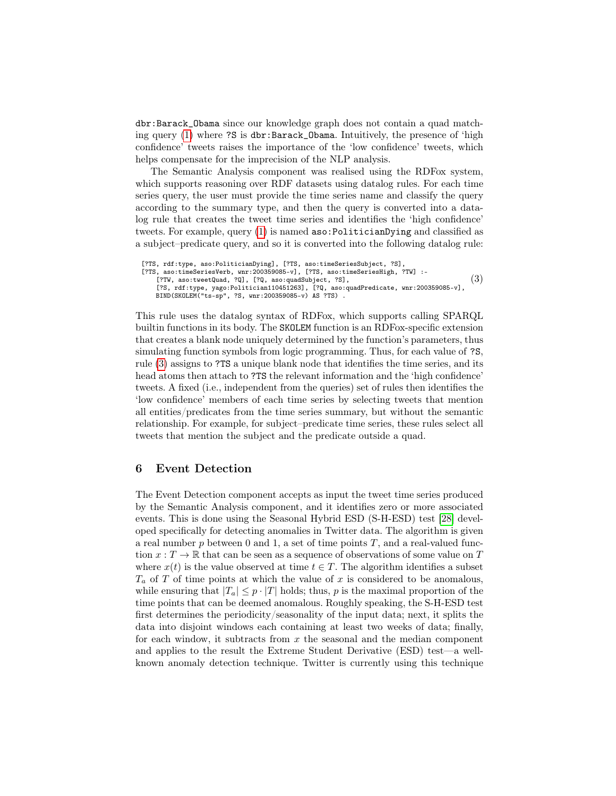dbr:Barack\_Obama since our knowledge graph does not contain a quad matching query [\(1\)](#page-9-0) where ?S is dbr:Barack\_Obama. Intuitively, the presence of 'high confidence' tweets raises the importance of the 'low confidence' tweets, which helps compensate for the imprecision of the NLP analysis.

The Semantic Analysis component was realised using the RDFox system, which supports reasoning over RDF datasets using datalog rules. For each time series query, the user must provide the time series name and classify the query according to the summary type, and then the query is converted into a datalog rule that creates the tweet time series and identifies the 'high confidence' tweets. For example, query [\(1\)](#page-9-0) is named aso:PoliticianDying and classified as a subject–predicate query, and so it is converted into the following datalog rule:

```
[?TS, rdf:type, aso:PoliticianDying], [?TS, aso:timeSeriesSubject, ?S],
[?TS, aso:timeSeriesVerb, wnr:200359085-v], [?TS, aso:timeSeriesHigh, ?TW] :-
[?TW, aso:tweetQuad, ?Q], [?Q, aso:quadSubject, ?S],
    [?S, rdf:type, yago:Politician110451263], [?Q, aso:quadPredicate, wnr:200359085-v],
    BIND(SKOLEM("ts-sp", ?S, wnr:200359085-v) AS ?TS) .
                                                                                                          (3)
```
This rule uses the datalog syntax of RDFox, which supports calling SPARQL builtin functions in its body. The SKOLEM function is an RDFox-specific extension that creates a blank node uniquely determined by the function's parameters, thus simulating function symbols from logic programming. Thus, for each value of ?S, rule [\(3\)](#page-10-1) assigns to ?TS a unique blank node that identifies the time series, and its head atoms then attach to ?TS the relevant information and the 'high confidence' tweets. A fixed (i.e., independent from the queries) set of rules then identifies the 'low confidence' members of each time series by selecting tweets that mention all entities/predicates from the time series summary, but without the semantic relationship. For example, for subject–predicate time series, these rules select all tweets that mention the subject and the predicate outside a quad.

## <span id="page-10-0"></span>6 Event Detection

The Event Detection component accepts as input the tweet time series produced by the Semantic Analysis component, and it identifies zero or more associated events. This is done using the Seasonal Hybrid ESD (S-H-ESD) test [\[28\]](#page-14-21) developed specifically for detecting anomalies in Twitter data. The algorithm is given a real number  $p$  between 0 and 1, a set of time points  $T$ , and a real-valued function  $x: T \to \mathbb{R}$  that can be seen as a sequence of observations of some value on T where  $x(t)$  is the value observed at time  $t \in T$ . The algorithm identifies a subset  $T_a$  of T of time points at which the value of x is considered to be anomalous, while ensuring that  $|T_a| \leq p \cdot |T|$  holds; thus, p is the maximal proportion of the time points that can be deemed anomalous. Roughly speaking, the S-H-ESD test first determines the periodicity/seasonality of the input data; next, it splits the data into disjoint windows each containing at least two weeks of data; finally, for each window, it subtracts from  $x$  the seasonal and the median component and applies to the result the Extreme Student Derivative (ESD) test—a wellknown anomaly detection technique. Twitter is currently using this technique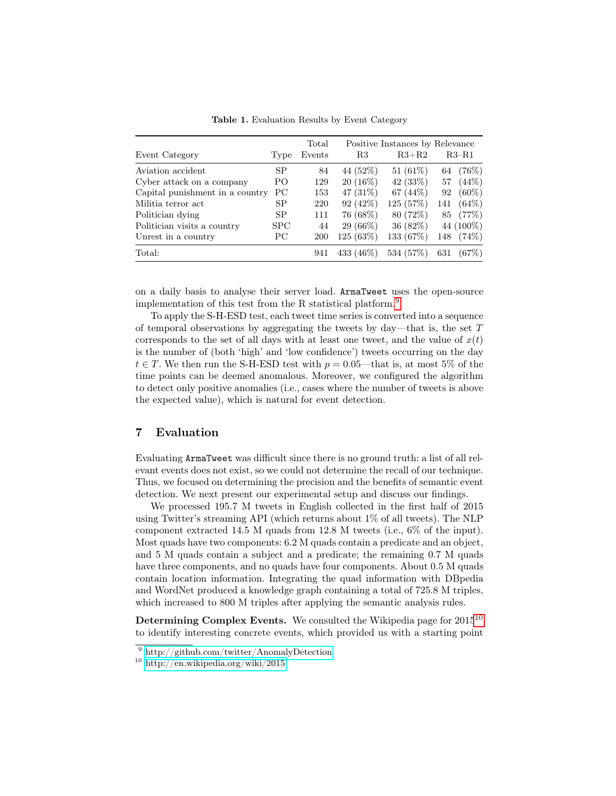| Event Category                  |            | Total<br>Events | R3           | Positive Instances by Relevance<br>$R3 + R2$ | $R3-R1$         |
|---------------------------------|------------|-----------------|--------------|----------------------------------------------|-----------------|
|                                 | 'Type      |                 |              |                                              |                 |
| Aviation accident               | <b>SP</b>  | 84              | 44 (52\%)    | 51 (61\%)                                    | $(76\%)$<br>64  |
| Cyber attack on a company       | PO.        | 129             | $20(16\%)$   | 42(33%)                                      | $(44\%)$<br>57  |
| Capital punishment in a country | РC         | 153             | 47 $(31%)$   | 67 $(44\%)$                                  | $(60\%)$<br>92  |
| Militia terror act              | SP         | 220             | 92(42%)      | 125 (57%)                                    | $(64\%)$<br>141 |
| Politician dying                | <b>SP</b>  | 111             | 76 (68%)     | 80 (72\%)                                    | (77%)<br>85     |
| Politician visits a country     | <b>SPC</b> | 44              | $29(66\%)$   | $36(82\%)$                                   | 44 (100\%)      |
| Unrest in a country             | РC         | 200             | 125 (63%)    | 133 (67%)                                    | $(74\%)$<br>148 |
| Total:                          |            | 941             | 433 $(46\%)$ | 534 (57\%)                                   | (67%)<br>631    |

<span id="page-11-3"></span>Table 1. Evaluation Results by Event Category

on a daily basis to analyse their server load. ArmaTweet uses the open-source implementation of this test from the R statistical platform.[9](#page-11-1)

To apply the S-H-ESD test, each tweet time series is converted into a sequence of temporal observations by aggregating the tweets by day—that is, the set  $T$ corresponds to the set of all days with at least one tweet, and the value of  $x(t)$ is the number of (both 'high' and 'low confidence') tweets occurring on the day  $t \in T$ . We then run the S-H-ESD test with  $p = 0.05$ —that is, at most 5% of the time points can be deemed anomalous. Moreover, we configured the algorithm to detect only positive anomalies (i.e., cases where the number of tweets is above the expected value), which is natural for event detection.

## <span id="page-11-0"></span>7 Evaluation

Evaluating ArmaTweet was difficult since there is no ground truth: a list of all relevant events does not exist, so we could not determine the recall of our technique. Thus, we focused on determining the precision and the benefits of semantic event detection. We next present our experimental setup and discuss our findings.

We processed 195.7 M tweets in English collected in the first half of 2015 using Twitter's streaming API (which returns about 1% of all tweets). The NLP component extracted 14.5 M quads from 12.8 M tweets (i.e., 6% of the input). Most quads have two components: 6.2 M quads contain a predicate and an object, and 5 M quads contain a subject and a predicate; the remaining 0.7 M quads have three components, and no quads have four components. About 0.5 M quads contain location information. Integrating the quad information with DBpedia and WordNet produced a knowledge graph containing a total of 725.8 M triples, which increased to 800 M triples after applying the semantic analysis rules.

Determining Complex Events. We consulted the Wikipedia page for 2015<sup>[10](#page-11-2)</sup> to identify interesting concrete events, which provided us with a starting point

<span id="page-11-1"></span><sup>9</sup> <http://github.com/twitter/AnomalyDetection>

<span id="page-11-2"></span> $10$  <http://en.wikipedia.org/wiki/2015>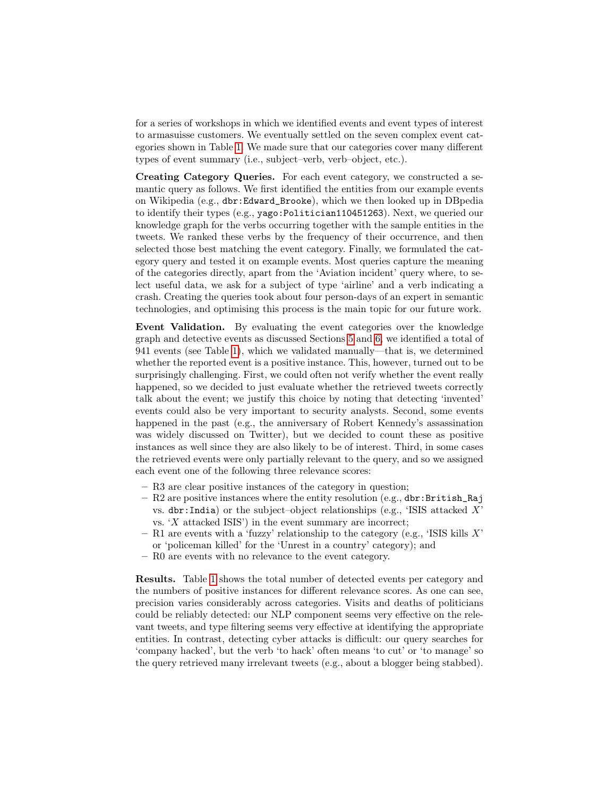for a series of workshops in which we identified events and event types of interest to armasuisse customers. We eventually settled on the seven complex event categories shown in Table [1.](#page-11-3) We made sure that our categories cover many different types of event summary (i.e., subject–verb, verb–object, etc.).

Creating Category Queries. For each event category, we constructed a semantic query as follows. We first identified the entities from our example events on Wikipedia (e.g., dbr:Edward\_Brooke), which we then looked up in DBpedia to identify their types (e.g., yago:Politician110451263). Next, we queried our knowledge graph for the verbs occurring together with the sample entities in the tweets. We ranked these verbs by the frequency of their occurrence, and then selected those best matching the event category. Finally, we formulated the category query and tested it on example events. Most queries capture the meaning of the categories directly, apart from the 'Aviation incident' query where, to select useful data, we ask for a subject of type 'airline' and a verb indicating a crash. Creating the queries took about four person-days of an expert in semantic technologies, and optimising this process is the main topic for our future work.

Event Validation. By evaluating the event categories over the knowledge graph and detective events as discussed Sections [5](#page-7-0) and [6,](#page-10-0) we identified a total of 941 events (see Table [1\)](#page-11-3), which we validated manually—that is, we determined whether the reported event is a positive instance. This, however, turned out to be surprisingly challenging. First, we could often not verify whether the event really happened, so we decided to just evaluate whether the retrieved tweets correctly talk about the event; we justify this choice by noting that detecting 'invented' events could also be very important to security analysts. Second, some events happened in the past (e.g., the anniversary of Robert Kennedy's assassination was widely discussed on Twitter), but we decided to count these as positive instances as well since they are also likely to be of interest. Third, in some cases the retrieved events were only partially relevant to the query, and so we assigned each event one of the following three relevance scores:

- R3 are clear positive instances of the category in question;
- $-$  R2 are positive instances where the entity resolution (e.g., dbr:British\_Raj vs. dbr:India) or the subject–object relationships (e.g., 'ISIS attacked  $X'$ ' vs. 'X attacked ISIS') in the event summary are incorrect;
- R1 are events with a 'fuzzy' relationship to the category (e.g., 'ISIS kills  $X'$ ' or 'policeman killed' for the 'Unrest in a country' category); and
- R0 are events with no relevance to the event category.

Results. Table [1](#page-11-3) shows the total number of detected events per category and the numbers of positive instances for different relevance scores. As one can see, precision varies considerably across categories. Visits and deaths of politicians could be reliably detected: our NLP component seems very effective on the relevant tweets, and type filtering seems very effective at identifying the appropriate entities. In contrast, detecting cyber attacks is difficult: our query searches for 'company hacked', but the verb 'to hack' often means 'to cut' or 'to manage' so the query retrieved many irrelevant tweets (e.g., about a blogger being stabbed).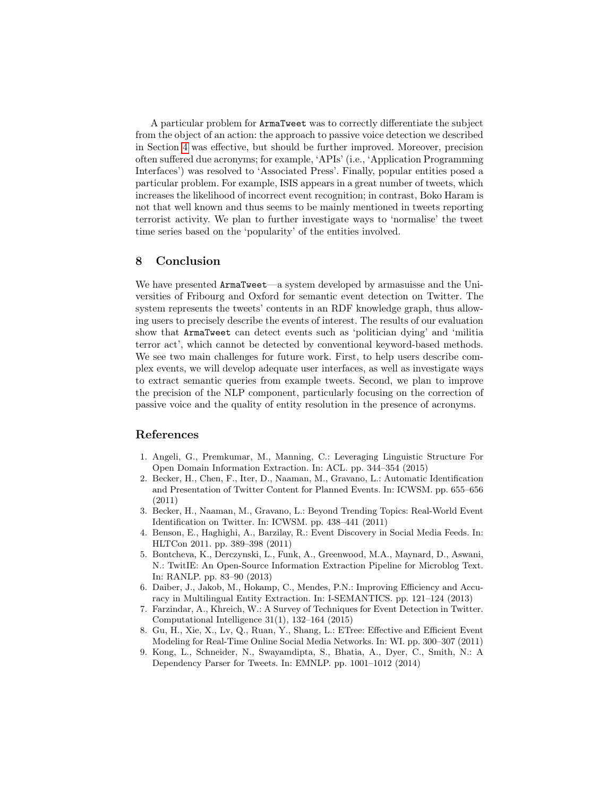A particular problem for ArmaTweet was to correctly differentiate the subject from the object of an action: the approach to passive voice detection we described in Section [4](#page-5-3) was effective, but should be further improved. Moreover, precision often suffered due acronyms; for example, 'APIs' (i.e., 'Application Programming Interfaces') was resolved to 'Associated Press'. Finally, popular entities posed a particular problem. For example, ISIS appears in a great number of tweets, which increases the likelihood of incorrect event recognition; in contrast, Boko Haram is not that well known and thus seems to be mainly mentioned in tweets reporting terrorist activity. We plan to further investigate ways to 'normalise' the tweet time series based on the 'popularity' of the entities involved.

## 8 Conclusion

We have presented ArmaTweet—a system developed by armasuisse and the Universities of Fribourg and Oxford for semantic event detection on Twitter. The system represents the tweets' contents in an RDF knowledge graph, thus allowing users to precisely describe the events of interest. The results of our evaluation show that ArmaTweet can detect events such as 'politician dying' and 'militia terror act', which cannot be detected by conventional keyword-based methods. We see two main challenges for future work. First, to help users describe complex events, we will develop adequate user interfaces, as well as investigate ways to extract semantic queries from example tweets. Second, we plan to improve the precision of the NLP component, particularly focusing on the correction of passive voice and the quality of entity resolution in the presence of acronyms.

#### References

- <span id="page-13-7"></span>1. Angeli, G., Premkumar, M., Manning, C.: Leveraging Linguistic Structure For Open Domain Information Extraction. In: ACL. pp. 344–354 (2015)
- <span id="page-13-1"></span>2. Becker, H., Chen, F., Iter, D., Naaman, M., Gravano, L.: Automatic Identification and Presentation of Twitter Content for Planned Events. In: ICWSM. pp. 655–656 (2011)
- <span id="page-13-4"></span>3. Becker, H., Naaman, M., Gravano, L.: Beyond Trending Topics: Real-World Event Identification on Twitter. In: ICWSM. pp. 438–441 (2011)
- <span id="page-13-5"></span>4. Benson, E., Haghighi, A., Barzilay, R.: Event Discovery in Social Media Feeds. In: HLTCon 2011. pp. 389–398 (2011)
- <span id="page-13-2"></span>5. Bontcheva, K., Derczynski, L., Funk, A., Greenwood, M.A., Maynard, D., Aswani, N.: TwitIE: An Open-Source Information Extraction Pipeline for Microblog Text. In: RANLP. pp. 83–90 (2013)
- <span id="page-13-8"></span>6. Daiber, J., Jakob, M., Hokamp, C., Mendes, P.N.: Improving Efficiency and Accuracy in Multilingual Entity Extraction. In: I-SEMANTICS. pp. 121–124 (2013)
- <span id="page-13-3"></span>7. Farzindar, A., Khreich, W.: A Survey of Techniques for Event Detection in Twitter. Computational Intelligence 31(1), 132–164 (2015)
- <span id="page-13-6"></span>8. Gu, H., Xie, X., Lv, Q., Ruan, Y., Shang, L.: ETree: Effective and Efficient Event Modeling for Real-Time Online Social Media Networks. In: WI. pp. 300–307 (2011)
- <span id="page-13-0"></span>9. Kong, L., Schneider, N., Swayamdipta, S., Bhatia, A., Dyer, C., Smith, N.: A Dependency Parser for Tweets. In: EMNLP. pp. 1001–1012 (2014)